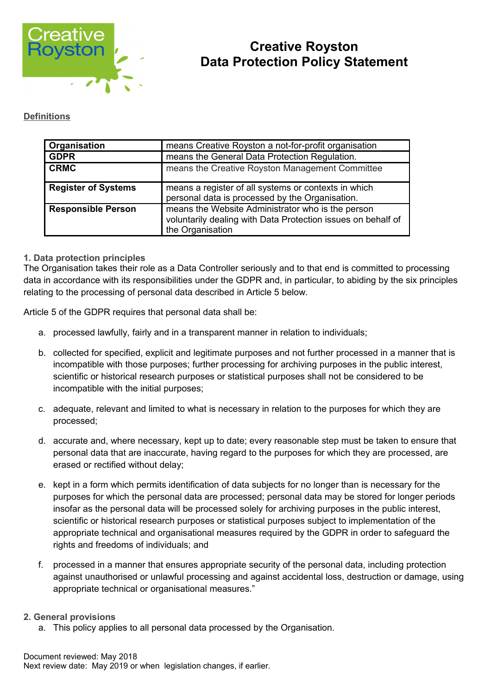

# **Creative Royston Data Protection Policy Statement**

## **Definitions**

| Organisation               | means Creative Royston a not-for-profit organisation                                                                                  |
|----------------------------|---------------------------------------------------------------------------------------------------------------------------------------|
| <b>GDPR</b>                | means the General Data Protection Regulation.                                                                                         |
| <b>CRMC</b>                | means the Creative Royston Management Committee                                                                                       |
| <b>Register of Systems</b> | means a register of all systems or contexts in which<br>personal data is processed by the Organisation.                               |
| <b>Responsible Person</b>  | means the Website Administrator who is the person<br>voluntarily dealing with Data Protection issues on behalf of<br>the Organisation |

## **1. Data protection principles**

The Organisation takes their role as a Data Controller seriously and to that end is committed to processing data in accordance with its responsibilities under the GDPR and, in particular, to abiding by the six principles relating to the processing of personal data described in Article 5 below.

Article 5 of the GDPR requires that personal data shall be:

- a. processed lawfully, fairly and in a transparent manner in relation to individuals;
- b. collected for specified, explicit and legitimate purposes and not further processed in a manner that is incompatible with those purposes; further processing for archiving purposes in the public interest, scientific or historical research purposes or statistical purposes shall not be considered to be incompatible with the initial purposes;
- c. adequate, relevant and limited to what is necessary in relation to the purposes for which they are processed;
- d. accurate and, where necessary, kept up to date; every reasonable step must be taken to ensure that personal data that are inaccurate, having regard to the purposes for which they are processed, are erased or rectified without delay;
- e. kept in a form which permits identification of data subjects for no longer than is necessary for the purposes for which the personal data are processed; personal data may be stored for longer periods insofar as the personal data will be processed solely for archiving purposes in the public interest, scientific or historical research purposes or statistical purposes subject to implementation of the appropriate technical and organisational measures required by the GDPR in order to safeguard the rights and freedoms of individuals; and
- f. processed in a manner that ensures appropriate security of the personal data, including protection against unauthorised or unlawful processing and against accidental loss, destruction or damage, using appropriate technical or organisational measures."

#### **2. General provisions**

a. This policy applies to all personal data processed by the Organisation.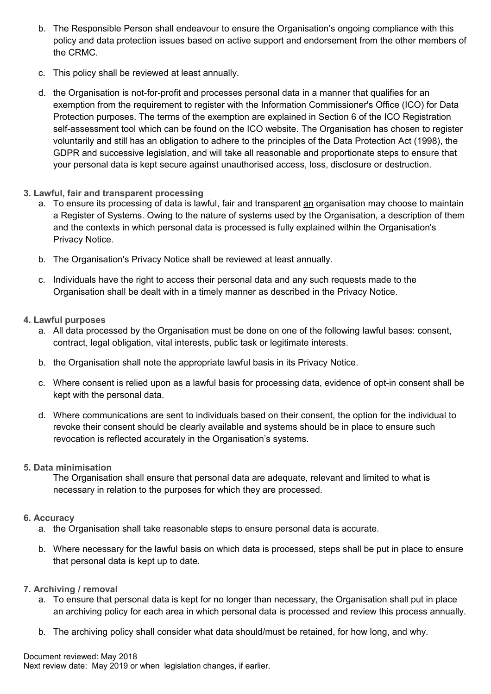- b. The Responsible Person shall endeavour to ensure the Organisation's ongoing compliance with this policy and data protection issues based on active support and endorsement from the other members of the CRMC.
- c. This policy shall be reviewed at least annually.
- d. the Organisation is not-for-profit and processes personal data in a manner that qualifies for an exemption from the requirement to register with the Information Commissioner's Office (ICO) for Data Protection purposes. The terms of the exemption are explained in Section 6 of the ICO Registration self-assessment tool which can be found on the ICO website. The Organisation has chosen to register voluntarily and still has an obligation to adhere to the principles of the Data Protection Act (1998), the GDPR and successive legislation, and will take all reasonable and proportionate steps to ensure that your personal data is kept secure against unauthorised access, loss, disclosure or destruction.
- **3. Lawful, fair and transparent processing** 
	- a. To ensure its processing of data is lawful, fair and transparent an organisation may choose to maintain a Register of Systems. Owing to the nature of systems used by the Organisation, a description of them and the contexts in which personal data is processed is fully explained within the Organisation's Privacy Notice.
	- b. The Organisation's Privacy Notice shall be reviewed at least annually.
	- c. Individuals have the right to access their personal data and any such requests made to the Organisation shall be dealt with in a timely manner as described in the Privacy Notice.
- **4. Lawful purposes**
	- a. All data processed by the Organisation must be done on one of the following lawful bases: consent, contract, legal obligation, vital interests, public task or legitimate interests.
	- b. the Organisation shall note the appropriate lawful basis in its Privacy Notice.
	- c. Where consent is relied upon as a lawful basis for processing data, evidence of opt-in consent shall be kept with the personal data.
	- d. Where communications are sent to individuals based on their consent, the option for the individual to revoke their consent should be clearly available and systems should be in place to ensure such revocation is reflected accurately in the Organisation's systems.
- **5. Data minimisation**

The Organisation shall ensure that personal data are adequate, relevant and limited to what is necessary in relation to the purposes for which they are processed.

- **6. Accuracy**
	- a. the Organisation shall take reasonable steps to ensure personal data is accurate.
	- b. Where necessary for the lawful basis on which data is processed, steps shall be put in place to ensure that personal data is kept up to date.
- **7. Archiving / removal**
	- a. To ensure that personal data is kept for no longer than necessary, the Organisation shall put in place an archiving policy for each area in which personal data is processed and review this process annually.
	- b. The archiving policy shall consider what data should/must be retained, for how long, and why.

Document reviewed: May 2018 Next review date: May 2019 or when legislation changes, if earlier.